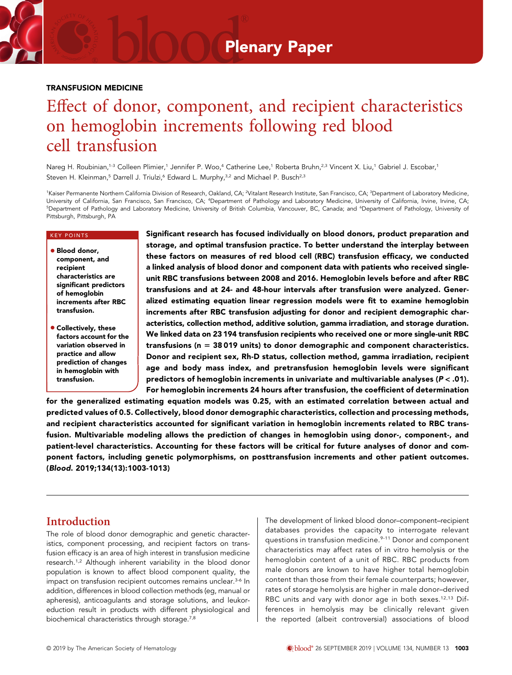# Plenary Paper

#### TRANSFUSION MEDICINE

# Effect of donor, component, and recipient characteristics on hemoglobin increments following red blood cell transfusion

Nareg H. Roubinian,<sup>1-3</sup> Colleen Plimier,<sup>1</sup> Jennifer P. Woo,<sup>4</sup> Catherine Lee,<sup>1</sup> Roberta Bruhn,<sup>2,3</sup> Vincent X. Liu,<sup>1</sup> Gabriel J. Escobar,<sup>1</sup> Steven H. Kleinman,<sup>5</sup> Darrell J. Triulzi,<sup>6</sup> Edward L. Murphy,<sup>3,2</sup> and Michael P. Busch<sup>2,3</sup>

<sup>1</sup>Kaiser Permanente Northern California Division of Research, Oakland, CA; <sup>2</sup>Vitalant Research Institute, San Francisco, CA; <sup>3</sup>Department of Laboratory Medicine, University of California, San Francisco, San Francisco, CA; <sup>4</sup> Department of Pathology and Laboratory Medicine, University of California, Irvine, Irvine, CA; <sup>5</sup>Department of Pathology and Laboratory Medicine, University of British Columbia, Vancouver, BC, Canada; and <sup>6</sup>Department of Pathology, University of Pittsburgh, Pittsburgh, PA

#### KEY POINTS

- **e** Blood donor, component, and recipient characteristics are significant predictors of hemoglobin increments after RBC transfusion.
- **Collectively, these** factors account for the variation observed in practice and allow prediction of changes in hemoglobin with transfusion.

Significant research has focused individually on blood donors, product preparation and storage, and optimal transfusion practice. To better understand the interplay between these factors on measures of red blood cell (RBC) transfusion efficacy, we conducted a linked analysis of blood donor and component data with patients who received singleunit RBC transfusions between 2008 and 2016. Hemoglobin levels before and after RBC transfusions and at 24- and 48-hour intervals after transfusion were analyzed. Generalized estimating equation linear regression models were fit to examine hemoglobin increments after RBC transfusion adjusting for donor and recipient demographic characteristics, collection method, additive solution, gamma irradiation, and storage duration. We linked data on 23 194 transfusion recipients who received one or more single-unit RBC transfusions ( $n = 38019$  units) to donor demographic and component characteristics. Donor and recipient sex, Rh-D status, collection method, gamma irradiation, recipient age and body mass index, and pretransfusion hemoglobin levels were significant predictors of hemoglobin increments in univariate and multivariable analyses ( $P < .01$ ). For hemoglobin increments 24 hours after transfusion, the coefficient of determination

for the generalized estimating equation models was 0.25, with an estimated correlation between actual and predicted values of 0.5. Collectively, blood donor demographic characteristics, collection and processing methods, and recipient characteristics accounted for significant variation in hemoglobin increments related to RBC transfusion. Multivariable modeling allows the prediction of changes in hemoglobin using donor-, component-, and patient-level characteristics. Accounting for these factors will be critical for future analyses of donor and component factors, including genetic polymorphisms, on posttransfusion increments and other patient outcomes. (Blood. 2019;134(13):1003-1013)

### Introduction

The role of blood donor demographic and genetic characteristics, component processing, and recipient factors on transfusion efficacy is an area of high interest in transfusion medicine research.<sup>1,2</sup> Although inherent variability in the blood donor population is known to affect blood component quality, the impact on transfusion recipient outcomes remains unclear.<sup>3-6</sup> In addition, differences in blood collection methods (eg, manual or apheresis), anticoagulants and storage solutions, and leukoreduction result in products with different physiological and biochemical characteristics through storage.7,8

The development of linked blood donor–component–recipient databases provides the capacity to interrogate relevant questions in transfusion medicine.<sup>9-11</sup> Donor and component characteristics may affect rates of in vitro hemolysis or the hemoglobin content of a unit of RBC. RBC products from male donors are known to have higher total hemoglobin content than those from their female counterparts; however, rates of storage hemolysis are higher in male donor–derived RBC units and vary with donor age in both sexes.<sup>12,13</sup> Differences in hemolysis may be clinically relevant given the reported (albeit controversial) associations of blood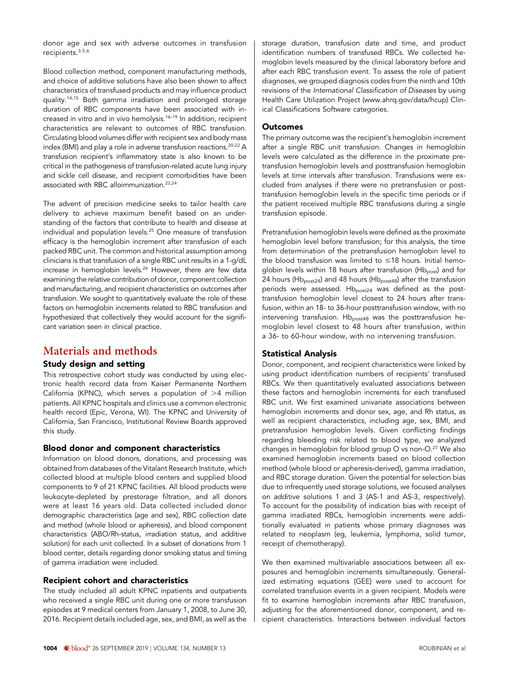donor age and sex with adverse outcomes in transfusion recipients.3,5,6

Blood collection method, component manufacturing methods, and choice of additive solutions have also been shown to affect characteristics of transfused products and may influence product quality.14,15 Both gamma irradiation and prolonged storage duration of RBC components have been associated with increased in vitro and in vivo hemolysis.16-19 In addition, recipient characteristics are relevant to outcomes of RBC transfusion. Circulating blood volumes differ with recipient sex and body mass index (BMI) and play a role in adverse transfusion reactions.20-22 A transfusion recipient's inflammatory state is also known to be critical in the pathogenesis of transfusion-related acute lung injury and sickle cell disease, and recipient comorbidities have been associated with RBC alloimmunization.23,24

The advent of precision medicine seeks to tailor health care delivery to achieve maximum benefit based on an understanding of the factors that contribute to health and disease at individual and population levels.25 One measure of transfusion efficacy is the hemoglobin increment after transfusion of each packed RBC unit. The common and historical assumption among clinicians is that transfusion of a single RBC unit results in a 1-g/dL increase in hemoglobin levels.26 However, there are few data examining the relative contribution of donor, component collection and manufacturing, and recipient characteristics on outcomes after transfusion. We sought to quantitatively evaluate the role of these factors on hemoglobin increments related to RBC transfusion and hypothesized that collectively they would account for the significant variation seen in clinical practice.

# Materials and methods

#### Study design and setting

This retrospective cohort study was conducted by using electronic health record data from Kaiser Permanente Northern California (KPNC), which serves a population of  $>4$  million patients. All KPNC hospitals and clinics use a common electronic health record (Epic, Verona, WI). The KPNC and University of California, San Francisco, Institutional Review Boards approved this study.

#### Blood donor and component characteristics

Information on blood donors, donations, and processing was obtained from databases of the Vitalant Research Institute, which collected blood at multiple blood centers and supplied blood components to 9 of 21 KPNC facilities. All blood products were leukocyte-depleted by prestorage filtration, and all donors were at least 16 years old. Data collected included donor demographic characteristics (age and sex), RBC collection date and method (whole blood or apheresis), and blood component characteristics (ABO/Rh-status, irradiation status, and additive solution) for each unit collected. In a subset of donations from 1 blood center, details regarding donor smoking status and timing of gamma irradiation were included.

#### Recipient cohort and characteristics

The study included all adult KPNC inpatients and outpatients who received a single RBC unit during one or more transfusion episodes at 9 medical centers from January 1, 2008, to June 30, 2016. Recipient details included age, sex, and BMI, as well as the storage duration, transfusion date and time, and product identification numbers of transfused RBCs. We collected hemoglobin levels measured by the clinical laboratory before and after each RBC transfusion event. To assess the role of patient diagnoses, we grouped diagnosis codes from the ninth and 10th revisions of the International Classification of Diseases by using Health Care Utilization Project ([www.ahrq.gov/data/hcup\)](http://www.ahrq.gov/data/hcup) Clinical Classifications Software categories.

### Outcomes

The primary outcome was the recipient's hemoglobin increment after a single RBC unit transfusion. Changes in hemoglobin levels were calculated as the difference in the proximate pretransfusion hemoglobin levels and posttransfusion hemoglobin levels at time intervals after transfusion. Transfusions were excluded from analyses if there were no pretransfusion or posttransfusion hemoglobin levels in the specific time periods or if the patient received multiple RBC transfusions during a single transfusion episode.

Pretransfusion hemoglobin levels were defined as the proximate hemoglobin level before transfusion; for this analysis, the time from determination of the pretransfusion hemoglobin level to the blood transfusion was limited to  $\leq$ 18 hours. Initial hemoglobin levels within 18 hours after transfusion (Hb<sub>post</sub>) and for 24 hours (Hb<sub>post24</sub>) and 48 hours (Hb<sub>post48</sub>) after the transfusion periods were assessed.  $Hb_{\text{post24}}$  was defined as the posttransfusion hemoglobin level closest to 24 hours after transfusion, within an 18- to 36-hour posttransfusion window, with no intervening transfusion.  $Hb_{\text{post48}}$  was the posttransfusion hemoglobin level closest to 48 hours after transfusion, within a 36- to 60-hour window, with no intervening transfusion.

### Statistical Analysis

Donor, component, and recipient characteristics were linked by using product identification numbers of recipients' transfused RBCs. We then quantitatively evaluated associations between these factors and hemoglobin increments for each transfused RBC unit. We first examined univariate associations between hemoglobin increments and donor sex, age, and Rh status, as well as recipient characteristics, including age, sex, BMI, and pretransfusion hemoglobin levels. Given conflicting findings regarding bleeding risk related to blood type, we analyzed changes in hemoglobin for blood group O vs non-O.27 We also examined hemoglobin increments based on blood collection method (whole blood or apheresis-derived), gamma irradiation, and RBC storage duration. Given the potential for selection bias due to infrequently used storage solutions, we focused analyses on additive solutions 1 and 3 (AS-1 and AS-3, respectively). To account for the possibility of indication bias with receipt of gamma irradiated RBCs, hemoglobin increments were additionally evaluated in patients whose primary diagnoses was related to neoplasm (eg, leukemia, lymphoma, solid tumor, receipt of chemotherapy).

We then examined multivariable associations between all exposures and hemoglobin increments simultaneously. Generalized estimating equations (GEE) were used to account for correlated transfusion events in a given recipient. Models were fit to examine hemoglobin increments after RBC transfusion, adjusting for the aforementioned donor, component, and recipient characteristics. Interactions between individual factors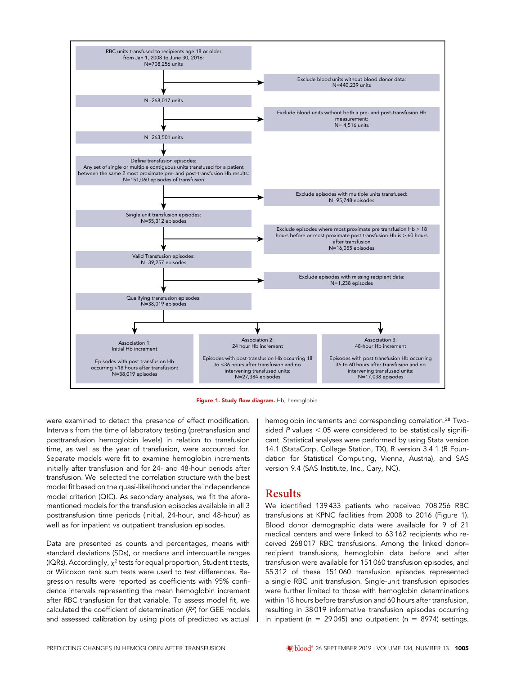

Figure 1. Study flow diagram. Hb, hemoglobin.

were examined to detect the presence of effect modification. Intervals from the time of laboratory testing (pretransfusion and posttransfusion hemoglobin levels) in relation to transfusion time, as well as the year of transfusion, were accounted for. Separate models were fit to examine hemoglobin increments initially after transfusion and for 24- and 48-hour periods after transfusion. We selected the correlation structure with the best model fit based on the quasi-likelihood under the independence model criterion (QIC). As secondary analyses, we fit the aforementioned models for the transfusion episodes available in all 3 posttransfusion time periods (initial, 24-hour, and 48-hour) as well as for inpatient vs outpatient transfusion episodes.

Data are presented as counts and percentages, means with standard deviations (SDs), or medians and interquartile ranges (IQRs). Accordingly,  $\chi^2$  tests for equal proportion, Student t tests, or Wilcoxon rank sum tests were used to test differences. Regression results were reported as coefficients with 95% confidence intervals representing the mean hemoglobin increment after RBC transfusion for that variable. To assess model fit, we calculated the coefficient of determination  $(R^2)$  for GEE models and assessed calibration by using plots of predicted vs actual hemoglobin increments and corresponding correlation.<sup>28</sup> Twosided  $P$  values <.05 were considered to be statistically significant. Statistical analyses were performed by using Stata version 14.1 (StataCorp, College Station, TX), R version 3.4.1 (R Foundation for Statistical Computing, Vienna, Austria), and SAS version 9.4 (SAS Institute, Inc., Cary, NC).

## **Results**

We identified 139 433 patients who received 708 256 RBC transfusions at KPNC facilities from 2008 to 2016 (Figure 1). Blood donor demographic data were available for 9 of 21 medical centers and were linked to 63 162 recipients who received 268 017 RBC transfusions. Among the linked donor– recipient transfusions, hemoglobin data before and after transfusion were available for 151 060 transfusion episodes, and 55 312 of these 151 060 transfusion episodes represented a single RBC unit transfusion. Single-unit transfusion episodes were further limited to those with hemoglobin determinations within 18 hours before transfusion and 60 hours after transfusion, resulting in 38 019 informative transfusion episodes occurring in inpatient (n = 29 045) and outpatient (n = 8974) settings.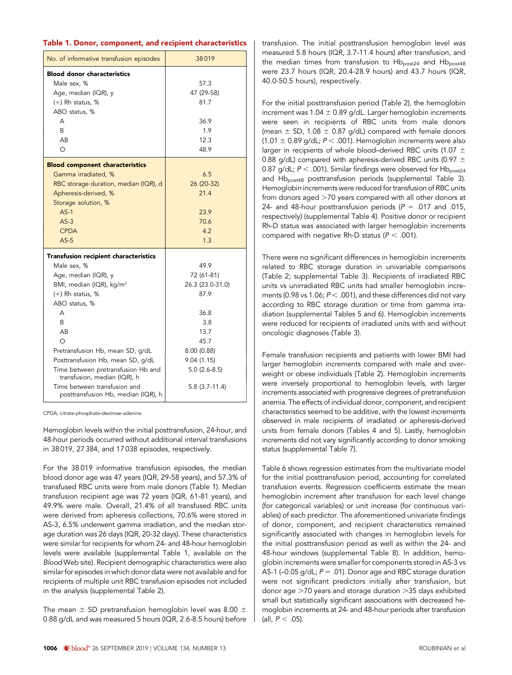|  |  |  |  | Table 1. Donor, component, and recipient characteristics |
|--|--|--|--|----------------------------------------------------------|
|--|--|--|--|----------------------------------------------------------|

| No. of informative transfusion episodes                             | 38019            |
|---------------------------------------------------------------------|------------------|
| <b>Blood donor characteristics</b>                                  |                  |
| Male sex, %                                                         | 57.3             |
| Age, median (IQR), y                                                | 47 (29-58)       |
| $(+)$ Rh status, %                                                  | 81.7             |
| ABO status, %                                                       |                  |
| A                                                                   | 36.9             |
| <sub>R</sub>                                                        | 1.9              |
| AB                                                                  | 12.3             |
| $\Omega$                                                            | 48.9             |
|                                                                     |                  |
| <b>Blood component characteristics</b>                              |                  |
| Gamma irradiated, %                                                 | 6.5              |
| RBC storage duration, median (IQR), d                               | 26 (20-32)       |
| Apheresis-derived, %                                                | 21.4             |
| Storage solution, %                                                 |                  |
| $AS-1$                                                              | 23.9             |
| $AS-3$                                                              | 70.6             |
| <b>CPDA</b>                                                         | 4.2              |
| $AS-5$                                                              | 1.3              |
| <b>Transfusion recipient characteristics</b>                        |                  |
| Male sex, %                                                         | 49.9             |
| Age, median (IQR), y                                                | 72 (61-81)       |
| BMI, median (IQR), kg/m <sup>2</sup>                                | 26.3 (23.0-31.0) |
| $(+)$ Rh status, %                                                  | 87.9             |
| ABO status, %                                                       |                  |
| А                                                                   | 36.8             |
| B                                                                   | 3.8              |
| AB                                                                  | 13.7             |
| $\Omega$                                                            | 45.7             |
| Pretransfusion Hb, mean SD, g/dL                                    | 8.00 (0.88)      |
| Posttransfusion Hb, mean SD, g/dL                                   | 9.04(1.15)       |
| Time between pretransfusion Hb and                                  | $5.0(2.6-8.5)$   |
| transfusion, median (IQR), h                                        |                  |
| Time between transfusion and<br>posttransfusion Hb, median (IQR), h | $5.8(3.7-11.4)$  |

CPDA, citrate-phosphate-dextrose-adenine.

Hemoglobin levels within the initial posttransfusion, 24-hour, and 48-hour periods occurred without additional interval transfusions in 38 019, 27 384, and 17 038 episodes, respectively.

For the 38 019 informative transfusion episodes, the median blood donor age was 47 years (IQR, 29-58 years), and 57.3% of transfused RBC units were from male donors (Table 1). Median transfusion recipient age was 72 years (IQR, 61-81 years), and 49.9% were male. Overall, 21.4% of all transfused RBC units were derived from apheresis collections, 70.6% were stored in AS-3, 6.5% underwent gamma irradiation, and the median storage duration was 26 days (IQR, 20-32 days). These characteristics were similar for recipients for whom 24- and 48-hour hemoglobin levels were available (supplemental Table 1, available on the Blood Web site). Recipient demographic characteristics were also similar for episodes in which donor data were not available and for recipients of multiple unit RBC transfusion episodes not included in the analysis (supplemental Table 2).

The mean  $\pm$  SD pretransfusion hemoglobin level was 8.00  $\pm$ 0.88 g/dL and was measured 5 hours (IQR, 2.6-8.5 hours) before transfusion. The initial posttransfusion hemoglobin level was measured 5.8 hours (IQR, 3.7-11.4 hours) after transfusion, and the median times from transfusion to  $Hb_{\text{post24}}$  and  $Hb_{\text{post48}}$ were 23.7 hours (IQR, 20.4-28.9 hours) and 43.7 hours (IQR, 40.0-50.5 hours), respectively.

For the initial posttransfusion period (Table 2), the hemoglobin increment was  $1.04 \pm 0.89$  g/dL. Larger hemoglobin increments were seen in recipients of RBC units from male donors (mean  $\pm$  SD, 1.08  $\pm$  0.87 g/dL) compared with female donors (1.01  $\pm$  0.89 g/dL; P < .001). Hemoglobin increments were also larger in recipients of whole blood–derived RBC units (1.07  $\pm$ 0.88 g/dL) compared with apheresis-derived RBC units (0.97  $\pm$ 0.87 g/dL;  $P < .001$ ). Similar findings were observed for Hb $_{\text{post24}}$ and Hb<sub>post48</sub> posttransfusion periods (supplemental Table 3). Hemoglobin increments were reduced for transfusion of RBC units from donors aged >70 years compared with all other donors at 24- and 48-hour posttransfusion periods ( $P = .017$  and .015, respectively) (supplemental Table 4). Positive donor or recipient Rh-D status was associated with larger hemoglobin increments compared with negative Rh-D status ( $P < .001$ ).

There were no significant differences in hemoglobin increments related to RBC storage duration in univariable comparisons (Table 2; supplemental Table 3). Recipients of irradiated RBC units vs unirradiated RBC units had smaller hemoglobin increments (0.98 vs 1.06;  $P < .001$ ), and these differences did not vary according to RBC storage duration or time from gamma irradiation (supplemental Tables 5 and 6). Hemoglobin increments were reduced for recipients of irradiated units with and without oncologic diagnoses (Table 3).

Female transfusion recipients and patients with lower BMI had larger hemoglobin increments compared with male and overweight or obese individuals (Table 2). Hemoglobin increments were inversely proportional to hemoglobin levels, with larger increments associated with progressive degrees of pretransfusion anemia. The effects of individual donor, component, and recipient characteristics seemed to be additive, with the lowest increments observed in male recipients of irradiated or apheresis-derived units from female donors (Tables 4 and 5). Lastly, hemoglobin increments did not vary significantly according to donor smoking status (supplemental Table 7).

Table 6 shows regression estimates from the multivariate model for the initial posttransfusion period, accounting for correlated transfusion events. Regression coefficients estimate the mean hemoglobin increment after transfusion for each level change (for categorical variables) or unit increase (for continuous variables) of each predictor. The aforementioned univariate findings of donor, component, and recipient characteristics remained significantly associated with changes in hemoglobin levels for the initial posttransfusion period as well as within the 24- and 48-hour windows (supplemental Table 8). In addition, hemoglobin increments were smaller for components stored in AS-3 vs AS-1 (-0.05 g/dL;  $P = .01$ ). Donor age and RBC storage duration were not significant predictors initially after transfusion, but donor age  $>70$  years and storage duration  $>35$  days exhibited small but statistically significant associations with decreased hemoglobin increments at 24- and 48-hour periods after transfusion (all,  $P < .05$ ).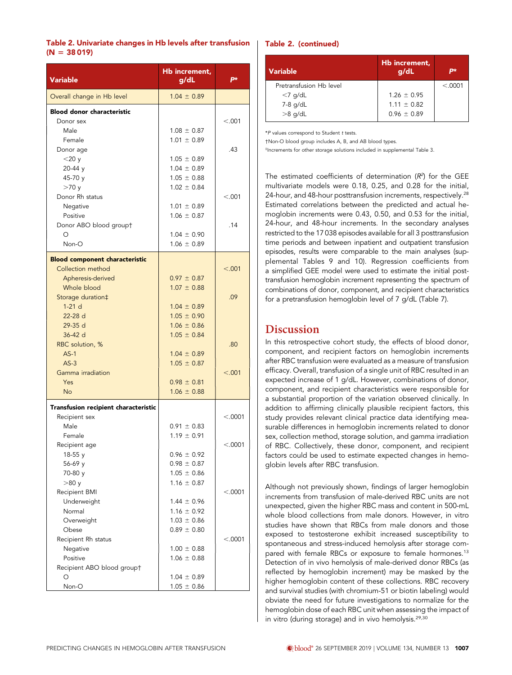| Table 2. Univariate changes in Hb levels after transfusion |  |  |
|------------------------------------------------------------|--|--|
| $(N = 38019)$                                              |  |  |

| <b>Variable</b>                                                                 | Hb increment,<br>g/dL                                 | р×       |
|---------------------------------------------------------------------------------|-------------------------------------------------------|----------|
| Overall change in Hb level                                                      | $1.04 \pm 0.89$                                       |          |
| <b>Blood donor characteristic</b><br>Donor sex<br>Male<br>Female                | $1.08 \pm 0.87$<br>$1.01 \pm 0.89$                    | < 0.001  |
| Donor age<br>$<$ 20 $y$<br>20-44 y                                              | $1.05 \pm 0.89$<br>$1.04 \pm 0.89$                    | .43      |
| 45-70 y<br>>70y<br>Donor Rh status<br>Negative                                  | $1.05 \pm 0.88$<br>$1.02 \pm 0.84$<br>$1.01 \pm 0.89$ | < .001   |
| Positive<br>Donor ABO blood groupt<br>Ω<br>Non-O                                | $1.06 \pm 0.87$<br>$1.04 \pm 0.90$<br>$1.06 \pm 0.89$ | .14      |
| <b>Blood component characteristic</b><br>Collection method<br>Apheresis-derived | $0.97 \pm 0.87$                                       | < .001   |
| Whole blood<br>Storage duration‡<br>$1-21$ d                                    | $1.07 \pm 0.88$<br>$1.04 \pm 0.89$                    | .09      |
| 22-28 d<br>29-35 d<br>36-42 d<br>RBC solution, %                                | $1.05 \pm 0.90$<br>$1.06 \pm 0.86$<br>$1.05 \pm 0.84$ | .80      |
| $AS-1$<br>$AS-3$<br>Gamma irradiation                                           | $1.04 \pm 0.89$<br>$1.05 \pm 0.87$                    | < .001   |
| Yes<br><b>No</b>                                                                | $0.98 \pm 0.81$<br>$1.06 \pm 0.88$                    |          |
| Transfusion recipient characteristic                                            |                                                       | < .0001  |
| Recipient sex<br>Male<br>Female                                                 | $0.91 \pm 0.83$<br>$1.19 \pm 0.91$                    |          |
| Recipient age<br>$18-55y$<br>56-69 y<br>70-80 y                                 | $0.96 \pm 0.92$<br>$0.98 \pm 0.87$<br>$1.05 \pm 0.86$ | < .0001  |
| >80y<br>Recipient BMI<br>Underweight                                            | $1.16 \pm 0.87$<br>$1.44 \pm 0.96$                    | < .0001  |
| Normal<br>Overweight<br>Obese<br>Recipient Rh status                            | $1.16 \pm 0.92$<br>$1.03 \pm 0.86$<br>$0.89 \pm 0.80$ | < 0.0001 |
| Negative<br>Positive<br>Recipient ABO blood group†                              | $1.00 \pm 0.88$<br>$1.06 \pm 0.88$                    |          |
| O<br>Non-O                                                                      | $1.04 \pm 0.89$<br>$1.05 \pm 0.86$                    |          |

#### Table 2. (continued)

| Variable                | Hb increment,<br>q/dL | р×       |
|-------------------------|-----------------------|----------|
| Pretransfusion Hb level |                       | < 0.0001 |
| $<$ 7 g/dL              | $1.26 \pm 0.95$       |          |
| 7-8 g/dL                | $1.11 \pm 0.82$       |          |
| $>8$ g/dL               | $0.96 \pm 0.89$       |          |

\*P values correspond to Student t tests.

†Non-O blood group includes A, B, and AB blood types.

‡ Increments for other storage solutions included in supplemental Table 3.

The estimated coefficients of determination  $(R^2)$  for the GEE multivariate models were 0.18, 0.25, and 0.28 for the initial, 24-hour, and 48-hour posttransfusion increments, respectively.<sup>28</sup> Estimated correlations between the predicted and actual hemoglobin increments were 0.43, 0.50, and 0.53 for the initial, 24-hour, and 48-hour increments. In the secondary analyses restricted to the 17 038 episodes available for all 3 posttransfusion time periods and between inpatient and outpatient transfusion episodes, results were comparable to the main analyses (supplemental Tables 9 and 10). Regression coefficients from a simplified GEE model were used to estimate the initial posttransfusion hemoglobin increment representing the spectrum of combinations of donor, component, and recipient characteristics for a pretransfusion hemoglobin level of 7 g/dL (Table 7).

## Discussion

In this retrospective cohort study, the effects of blood donor, component, and recipient factors on hemoglobin increments after RBC transfusion were evaluated as a measure of transfusion efficacy. Overall, transfusion of a single unit of RBC resulted in an expected increase of 1 g/dL. However, combinations of donor, component, and recipient characteristics were responsible for a substantial proportion of the variation observed clinically. In addition to affirming clinically plausible recipient factors, this study provides relevant clinical practice data identifying measurable differences in hemoglobin increments related to donor sex, collection method, storage solution, and gamma irradiation of RBC. Collectively, these donor, component, and recipient factors could be used to estimate expected changes in hemoglobin levels after RBC transfusion.

Although not previously shown, findings of larger hemoglobin increments from transfusion of male-derived RBC units are not unexpected, given the higher RBC mass and content in 500-mL whole blood collections from male donors. However, in vitro studies have shown that RBCs from male donors and those exposed to testosterone exhibit increased susceptibility to spontaneous and stress-induced hemolysis after storage compared with female RBCs or exposure to female hormones.<sup>13</sup> Detection of in vivo hemolysis of male-derived donor RBCs (as reflected by hemoglobin increment) may be masked by the higher hemoglobin content of these collections. RBC recovery and survival studies (with chromium-51 or biotin labeling) would obviate the need for future investigations to normalize for the hemoglobin dose of each RBC unit when assessing the impact of in vitro (during storage) and in vivo hemolysis.<sup>29,30</sup>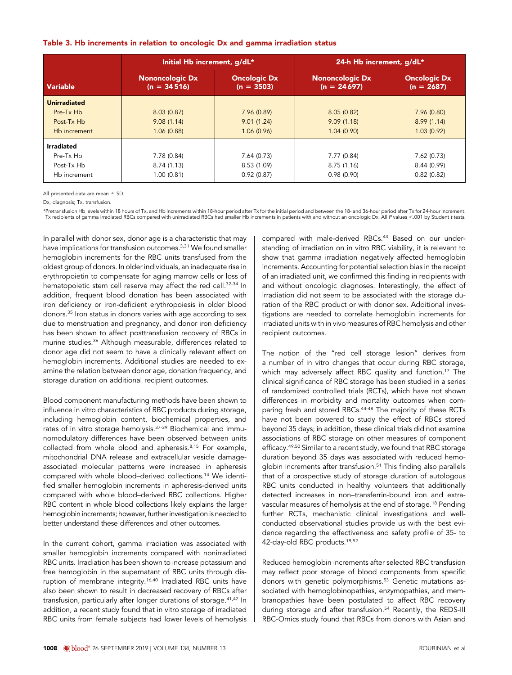|  |  |  | Table 3. Hb increments in relation to oncologic Dx and gamma irradiation status |
|--|--|--|---------------------------------------------------------------------------------|
|--|--|--|---------------------------------------------------------------------------------|

|                                                                | Initial Hb increment, g/dL*             |                                         | 24-h Hb increment, g/dL*                |                                         |
|----------------------------------------------------------------|-----------------------------------------|-----------------------------------------|-----------------------------------------|-----------------------------------------|
| Variable                                                       | <b>Nononcologic Dx</b><br>$(n = 34516)$ | <b>Oncologic Dx</b><br>$(n = 3503)$     | <b>Nononcologic Dx</b><br>$(n = 24697)$ | <b>Oncologic Dx</b><br>$(n = 2687)$     |
| <b>Unirradiated</b><br>Pre-Tx Hb<br>Post-Tx Hb<br>Hb increment | 8.03(0.87)<br>9.08(1.14)<br>1.06(0.88)  | 7.96(0.89)<br>9.01(1.24)<br>1.06(0.96)  | 8.05(0.82)<br>9.09(1.18)<br>1.04(0.90)  | 7.96(0.80)<br>8.99(1.14)<br>1.03(0.92)  |
| Irradiated<br>Pre-Tx Hb<br>Post-Tx Hb<br>Hb increment          | 7.78 (0.84)<br>8.74(1.13)<br>1.00(0.81) | 7.64(0.73)<br>8.53 (1.09)<br>0.92(0.87) | 7.77(0.84)<br>8.75(1.16)<br>0.98(0.90)  | 7.62(0.73)<br>8.44 (0.99)<br>0.82(0.82) |

All presented data are mean  $\pm$  SD.

Dx, diagnosis; Tx, transfusion.

\*Pretransfusion Hb levels within 18 hours of Tx, and Hb increments within 18-hour period after Tx for the initial period and between the 18- and 36-hour period after Tx for 24-hour increment. Tx recipients of gamma irradiated RBCs compared with unirradiated RBCs had smaller Hb increments in patients with and without an oncologic Dx. All P values ,.001 by Student t tests.

In parallel with donor sex, donor age is a characteristic that may have implications for transfusion outcomes.<sup>3,31</sup> We found smaller hemoglobin increments for the RBC units transfused from the oldest group of donors. In older individuals, an inadequate rise in erythropoietin to compensate for aging marrow cells or loss of hematopoietic stem cell reserve may affect the red cell.<sup>32-34</sup> In addition, frequent blood donation has been associated with iron deficiency or iron-deficient erythropoiesis in older blood donors.35 Iron status in donors varies with age according to sex due to menstruation and pregnancy, and donor iron deficiency has been shown to affect posttransfusion recovery of RBCs in murine studies.36 Although measurable, differences related to donor age did not seem to have a clinically relevant effect on hemoglobin increments. Additional studies are needed to examine the relation between donor age, donation frequency, and storage duration on additional recipient outcomes.

Blood component manufacturing methods have been shown to influence in vitro characteristics of RBC products during storage, including hemoglobin content, biochemical properties, and rates of in vitro storage hemolysis.37-39 Biochemical and immunomodulatory differences have been observed between units collected from whole blood and apheresis.<sup>8,15</sup> For example, mitochondrial DNA release and extracellular vesicle damageassociated molecular patterns were increased in apheresis compared with whole blood–derived collections.14 We identified smaller hemoglobin increments in apheresis-derived units compared with whole blood–derived RBC collections. Higher RBC content in whole blood collections likely explains the larger hemoglobin increments; however, further investigation is needed to better understand these differences and other outcomes.

In the current cohort, gamma irradiation was associated with smaller hemoglobin increments compared with nonirradiated RBC units. Irradiation has been shown to increase potassium and free hemoglobin in the supernatant of RBC units through disruption of membrane integrity.<sup>16,40</sup> Irradiated RBC units have also been shown to result in decreased recovery of RBCs after transfusion, particularly after longer durations of storage.41,42 In addition, a recent study found that in vitro storage of irradiated RBC units from female subjects had lower levels of hemolysis compared with male-derived RBCs.<sup>43</sup> Based on our understanding of irradiation on in vitro RBC viability, it is relevant to show that gamma irradiation negatively affected hemoglobin increments. Accounting for potential selection bias in the receipt of an irradiated unit, we confirmed this finding in recipients with and without oncologic diagnoses. Interestingly, the effect of irradiation did not seem to be associated with the storage duration of the RBC product or with donor sex. Additional investigations are needed to correlate hemoglobin increments for irradiated units with in vivo measures of RBC hemolysis and other recipient outcomes.

The notion of the "red cell storage lesion" derives from a number of in vitro changes that occur during RBC storage, which may adversely affect RBC quality and function.17 The clinical significance of RBC storage has been studied in a series of randomized controlled trials (RCTs), which have not shown differences in morbidity and mortality outcomes when comparing fresh and stored RBCs.<sup>44-48</sup> The majority of these RCTs have not been powered to study the effect of RBCs stored beyond 35 days; in addition, these clinical trials did not examine associations of RBC storage on other measures of component efficacy.<sup>49,50</sup> Similar to a recent study, we found that RBC storage duration beyond 35 days was associated with reduced hemoglobin increments after transfusion.<sup>51</sup> This finding also parallels that of a prospective study of storage duration of autologous RBC units conducted in healthy volunteers that additionally detected increases in non–transferrin-bound iron and extravascular measures of hemolysis at the end of storage.<sup>18</sup> Pending further RCTs, mechanistic clinical investigations and wellconducted observational studies provide us with the best evidence regarding the effectiveness and safety profile of 35- to 42-day-old RBC products.19,52

Reduced hemoglobin increments after selected RBC transfusion may reflect poor storage of blood components from specific donors with genetic polymorphisms.<sup>53</sup> Genetic mutations associated with hemoglobinopathies, enzymopathies, and membranopathies have been postulated to affect RBC recovery during storage and after transfusion.<sup>54</sup> Recently, the REDS-III RBC-Omics study found that RBCs from donors with Asian and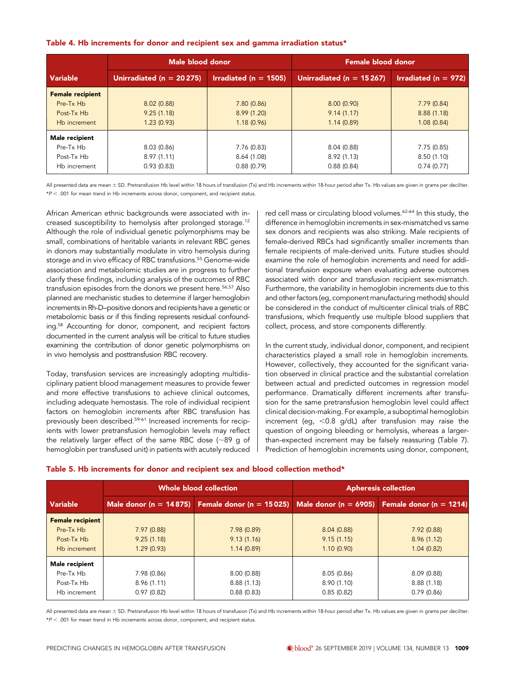| Table 4. Hb increments for donor and recipient sex and gamma irradiation status* |  |  |
|----------------------------------------------------------------------------------|--|--|
|----------------------------------------------------------------------------------|--|--|

|                                                                    | Male blood donor                       |                                          | <b>Female blood donor</b>              |                                         |
|--------------------------------------------------------------------|----------------------------------------|------------------------------------------|----------------------------------------|-----------------------------------------|
| <b>Variable</b>                                                    | Unirradiated ( $n = 20275$ )           | Irradiated ( $n = 1505$ )                | Unirradiated ( $n = 15267$ )           | Irradiated ( $n = 972$ )                |
| <b>Female recipient</b><br>Pre-Tx Hb<br>Post-Tx Hb<br>Hb increment | 8.02(0.88)<br>9.25(1.18)<br>1.23(0.93) | 7.80(0.86)<br>8.99(1.20)<br>1.18(0.96)   | 8.00(0.90)<br>9.14(1.17)<br>1.14(0.89) | 7.79(0.84)<br>8.88(1.18)<br>1.08(0.84)  |
| <b>Male recipient</b><br>Pre-Tx Hb<br>Post-Tx Hb<br>Hb increment   | 8.03(0.86)<br>8.97(1.11)<br>0.93(0.83) | 7.76 (0.83)<br>8.64 (1.08)<br>0.88(0.79) | 8.04(0.88)<br>8.92(1.13)<br>0.88(0.84) | 7.75 (0.85)<br>8.50(1.10)<br>0.74(0.77) |

All presented data are mean  $\pm$  SD. Pretransfusion Hb level within 18 hours of transfusion (Tx) and Hb increments within 18-hour period after Tx. Hb values are given in grams per deciliter.  $*P < .001$  for mean trend in Hb increments across donor, component, and recipient status.

African American ethnic backgrounds were associated with increased susceptibility to hemolysis after prolonged storage.<sup>12</sup> Although the role of individual genetic polymorphisms may be small, combinations of heritable variants in relevant RBC genes in donors may substantially modulate in vitro hemolysis during storage and in vivo efficacy of RBC transfusions.<sup>55</sup> Genome-wide association and metabolomic studies are in progress to further clarify these findings, including analysis of the outcomes of RBC transfusion episodes from the donors we present here.<sup>56,57</sup> Also planned are mechanistic studies to determine if larger hemoglobin increments in Rh-D–positive donors and recipients have a genetic or metabolomic basis or if this finding represents residual confounding.<sup>58</sup> Accounting for donor, component, and recipient factors documented in the current analysis will be critical to future studies examining the contribution of donor genetic polymorphisms on in vivo hemolysis and posttransfusion RBC recovery.

Today, transfusion services are increasingly adopting multidisciplinary patient blood management measures to provide fewer and more effective transfusions to achieve clinical outcomes, including adequate hemostasis. The role of individual recipient factors on hemoglobin increments after RBC transfusion has previously been described.59-61 Increased increments for recipients with lower pretransfusion hemoglobin levels may reflect the relatively larger effect of the same RBC dose  $($ ~89 g of hemoglobin per transfused unit) in patients with acutely reduced red cell mass or circulating blood volumes.<sup>62-64</sup> In this study, the difference in hemoglobin increments in sex-mismatched vs same sex donors and recipients was also striking. Male recipients of female-derived RBCs had significantly smaller increments than female recipients of male-derived units. Future studies should examine the role of hemoglobin increments and need for additional transfusion exposure when evaluating adverse outcomes associated with donor and transfusion recipient sex-mismatch. Furthermore, the variability in hemoglobin increments due to this and other factors (eg, component manufacturing methods) should be considered in the conduct of multicenter clinical trials of RBC transfusions, which frequently use multiple blood suppliers that collect, process, and store components differently.

In the current study, individual donor, component, and recipient characteristics played a small role in hemoglobin increments. However, collectively, they accounted for the significant variation observed in clinical practice and the substantial correlation between actual and predicted outcomes in regression model performance. Dramatically different increments after transfusion for the same pretransfusion hemoglobin level could affect clinical decision-making. For example, a suboptimal hemoglobin increment (eq,  $< 0.8$  g/dL) after transfusion may raise the question of ongoing bleeding or hemolysis, whereas a largerthan-expected increment may be falsely reassuring (Table 7). Prediction of hemoglobin increments using donor, component,

| Table 5. Hb increments for donor and recipient sex and blood collection method* |  |  |
|---------------------------------------------------------------------------------|--|--|
|---------------------------------------------------------------------------------|--|--|

|                         |             | Whole blood collection                                                                        | <b>Apheresis collection</b> |            |
|-------------------------|-------------|-----------------------------------------------------------------------------------------------|-----------------------------|------------|
| <b>Variable</b>         |             | Male donor (n = 14875) Female donor (n = 15025) Male donor (n = 6905) Female donor (n = 1214) |                             |            |
| <b>Female recipient</b> |             |                                                                                               |                             |            |
| Pre-Tx Hb               | 7.97(0.88)  | 7.98(0.89)                                                                                    | 8.04(0.88)                  | 7.92(0.88) |
| Post-Tx Hb              | 9.25(1.18)  | 9.13(1.16)                                                                                    | 9.15(1.15)                  | 8.96(1.12) |
| Hb increment            | 1.29(0.93)  | 1.14(0.89)                                                                                    | 1.10(0.90)                  | 1.04(0.82) |
| Male recipient          |             |                                                                                               |                             |            |
| Pre-Tx Hb               | 7.98 (0.86) | 8.00(0.88)                                                                                    | 8.05(0.86)                  | 8.09(0.88) |
| Post-Tx Hb              | 8.96(1.11)  | 8.88(1.13)                                                                                    | 8.90 (1.10)                 | 8.88(1.18) |
| Hb increment            | 0.97(0.82)  | 0.88(0.83)                                                                                    | 0.85(0.82)                  | 0.79(0.86) |

All presented data are mean ± SD. Pretransfusion Hb level within 18 hours of transfusion (Tx) and Hb increments within 18-hour period after Tx. Hb values are given in grams per deciliter.  $*P < .001$  for mean trend in Hb increments across donor, component, and recipient status.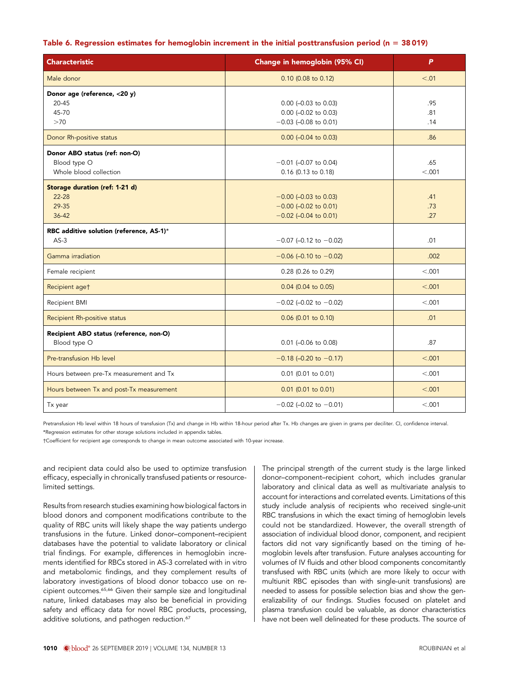#### Table 6. Regression estimates for hemoglobin increment in the initial posttransfusion period (n = 38 019)

| <b>Characteristic</b>                                                   | Change in hemoglobin (95% CI)                                                 | P                 |
|-------------------------------------------------------------------------|-------------------------------------------------------------------------------|-------------------|
| Male donor                                                              | 0.10 (0.08 to 0.12)                                                           | < .01             |
| Donor age (reference, <20 y)<br>20-45<br>45-70<br>>70                   | $0.00$ (-0.03 to 0.03)<br>0.00 (-0.02 to 0.03)<br>$-0.03$ (-0.08 to 0.01)     | .95<br>.81<br>.14 |
| Donor Rh-positive status                                                | $0.00$ (-0.04 to 0.03)                                                        | .86               |
| Donor ABO status (ref: non-O)<br>Blood type O<br>Whole blood collection | $-0.01$ (-0.07 to 0.04)<br>0.16 (0.13 to 0.18)                                | .65<br>< 0.001    |
| Storage duration (ref: 1-21 d)<br>$22 - 28$<br>29-35<br>$36 - 42$       | $-0.00$ (-0.03 to 0.03)<br>$-0.00$ (-0.02 to 0.01)<br>$-0.02$ (-0.04 to 0.01) | .41<br>.73<br>.27 |
| RBC additive solution (reference, AS-1)*<br>$AS-3$                      | $-0.07$ (-0.12 to $-0.02$ )                                                   | .01               |
| Gamma irradiation                                                       | $-0.06$ (-0.10 to $-0.02$ )                                                   | .002              |
| Female recipient                                                        | 0.28 (0.26 to 0.29)                                                           | < 0.001           |
| Recipient aget                                                          | 0.04 (0.04 to 0.05)                                                           | < .001            |
| Recipient BMI                                                           | $-0.02$ (-0.02 to $-0.02$ )                                                   | < 0.001           |
| Recipient Rh-positive status                                            | 0.06 (0.01 to 0.10)                                                           | .01               |
| Recipient ABO status (reference, non-O)<br>Blood type O                 | $0.01$ (-0.06 to 0.08)                                                        | .87               |
| Pre-transfusion Hb level                                                | $-0.18$ (-0.20 to $-0.17$ )                                                   | < .001            |
| Hours between pre-Tx measurement and Tx                                 | $0.01$ (0.01 to 0.01)                                                         | < 0.001           |
| Hours between Tx and post-Tx measurement                                | $0.01$ (0.01 to 0.01)                                                         | < .001            |
| Tx year                                                                 | $-0.02$ (-0.02 to $-0.01$ )                                                   | < .001            |

Pretransfusion Hb level within 18 hours of transfusion (Tx) and change in Hb within 18-hour period after Tx. Hb changes are given in grams per deciliter. CI, confidence interval. \*Regression estimates for other storage solutions included in appendix tables.

†Coefficient for recipient age corresponds to change in mean outcome associated with 10-year increase.

and recipient data could also be used to optimize transfusion efficacy, especially in chronically transfused patients or resourcelimited settings.

Results from research studies examining how biological factors in blood donors and component modifications contribute to the quality of RBC units will likely shape the way patients undergo transfusions in the future. Linked donor–component–recipient databases have the potential to validate laboratory or clinical trial findings. For example, differences in hemoglobin increments identified for RBCs stored in AS-3 correlated with in vitro and metabolomic findings, and they complement results of laboratory investigations of blood donor tobacco use on recipient outcomes.65,66 Given their sample size and longitudinal nature, linked databases may also be beneficial in providing safety and efficacy data for novel RBC products, processing, additive solutions, and pathogen reduction.<sup>67</sup>

The principal strength of the current study is the large linked donor–component–recipient cohort, which includes granular laboratory and clinical data as well as multivariate analysis to account for interactions and correlated events. Limitations of this study include analysis of recipients who received single-unit RBC transfusions in which the exact timing of hemoglobin levels could not be standardized. However, the overall strength of association of individual blood donor, component, and recipient factors did not vary significantly based on the timing of hemoglobin levels after transfusion. Future analyses accounting for volumes of IV fluids and other blood components concomitantly transfused with RBC units (which are more likely to occur with multiunit RBC episodes than with single-unit transfusions) are needed to assess for possible selection bias and show the generalizability of our findings. Studies focused on platelet and plasma transfusion could be valuable, as donor characteristics have not been well delineated for these products. The source of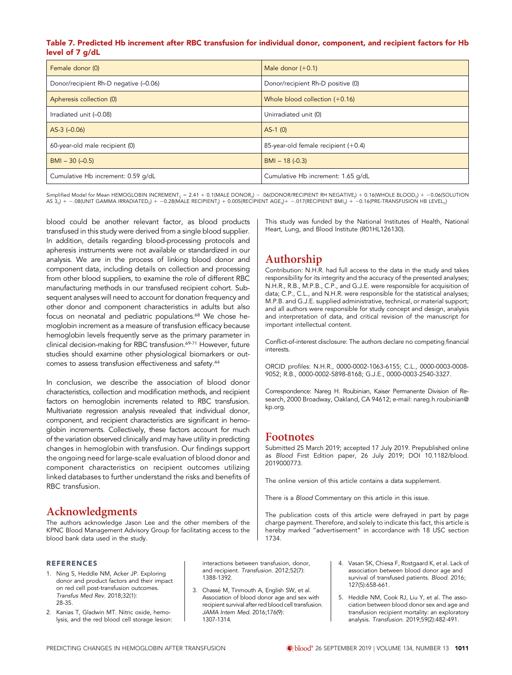#### Table 7. Predicted Hb increment after RBC transfusion for individual donor, component, and recipient factors for Hb level of 7 g/dL

| Female donor (0)                      | Male donor $(+0.1)$                 |
|---------------------------------------|-------------------------------------|
| Donor/recipient Rh-D negative (-0.06) | Donor/recipient Rh-D positive (0)   |
| Apheresis collection (0)              | Whole blood collection $(+0.16)$    |
| Irradiated unit (-0.08)               | Unirradiated unit (0)               |
| $AS-3$ $(-0.06)$                      | $AS-1(0)$                           |
| 60-year-old male recipient (0)        | 85-year-old female recipient (+0.4) |
| $BMI - 30 (-0.5)$                     | $BMI - 18 (-0.3)$                   |
| Cumulative Hb increment: 0.59 g/dL    | Cumulative Hb increment: 1.65 g/dL  |

Simplified Model for Mean HEMOGLOBIN INCREMENT<sub>ij</sub> = 2.41 + 0.1(MALE DONOR<sub>ij</sub>) – .06(DONOR/RECIPIENT RH NEGATIVE<sub>j</sub>) + 0.16(WHOLE BLOOD<sub>ij</sub>) + −0.06(SOLUTION<br>AS 3<sub>ij</sub>) + −.08(UNIT GAMMA IRRADIATED<sub>ij</sub>) + −0.28(MALE RECIPI

blood could be another relevant factor, as blood products transfused in this study were derived from a single blood supplier. In addition, details regarding blood-processing protocols and apheresis instruments were not available or standardized in our analysis. We are in the process of linking blood donor and component data, including details on collection and processing from other blood suppliers, to examine the role of different RBC manufacturing methods in our transfused recipient cohort. Subsequent analyses will need to account for donation frequency and other donor and component characteristics in adults but also focus on neonatal and pediatric populations.<sup>68</sup> We chose hemoglobin increment as a measure of transfusion efficacy because hemoglobin levels frequently serve as the primary parameter in clinical decision-making for RBC transfusion.<sup>69-71</sup> However, future studies should examine other physiological biomarkers or outcomes to assess transfusion effectiveness and safety.44

In conclusion, we describe the association of blood donor characteristics, collection and modification methods, and recipient factors on hemoglobin increments related to RBC transfusion. Multivariate regression analysis revealed that individual donor, component, and recipient characteristics are significant in hemoglobin increments. Collectively, these factors account for much of the variation observed clinically and may have utility in predicting changes in hemoglobin with transfusion. Our findings support the ongoing need for large-scale evaluation of blood donor and component characteristics on recipient outcomes utilizing linked databases to further understand the risks and benefits of RBC transfusion.

# Acknowledgments

The authors acknowledge Jason Lee and the other members of the KPNC Blood Management Advisory Group for facilitating access to the blood bank data used in the study.

#### REFERENCES

- 1. Ning S, Heddle NM, Acker JP. Exploring donor and product factors and their impact on red cell post-transfusion outcomes. Transfus Med Rev. 2018;32(1): 28-35.
- 2. Kanias T, Gladwin MT. Nitric oxide, hemolysis, and the red blood cell storage lesion:

interactions between transfusion, donor, and recipient. Transfusion. 2012;52(7): 1388-1392.

3. Chassé M, Tinmouth A, English SW, et al. Association of blood donor age and sex with recipient survival after red blood cell transfusion. JAMA Intern Med. 2016;176(9): 1307-1314.

This study was funded by the National Institutes of Health, National Heart, Lung, and Blood Institute (R01HL126130).

# Authorship

Contribution: N.H.R. had full access to the data in the study and takes responsibility for its integrity and the accuracy of the presented analyses; N.H.R., R.B., M.P.B., C.P., and G.J.E. were responsible for acquisition of data; C.P., C.L., and N.H.R. were responsible for the statistical analyses; M.P.B. and G.J.E. supplied administrative, technical, or material support; and all authors were responsible for study concept and design, analysis and interpretation of data, and critical revision of the manuscript for important intellectual content.

Conflict-of-interest disclosure: The authors declare no competing financial interests.

ORCID profiles: N.H.R., [0000-0002-1063-6155;](http://orcid.org/0000-0002-1063-6155) C.L., [0000-0003-0008-](http://orcid.org/0000-0003-0008-9052) [9052](http://orcid.org/0000-0003-0008-9052); R.B., [0000-0002-5898-8168;](http://orcid.org/0000-0002-5898-8168) G.J.E., [0000-0003-2540-3327.](http://orcid.org/0000-0003-2540-3327)

Correspondence: Nareg H. Roubinian, Kaiser Permanente Division of Research, 2000 Broadway, Oakland, CA 94612; e-mail: [nareg.h.roubinian@](mailto:nareg.h.roubinian@kp.org) [kp.org](mailto:nareg.h.roubinian@kp.org).

## Footnotes

Submitted 25 March 2019; accepted 17 July 2019. Prepublished online as Blood First Edition paper, 26 July 2019; DOI [10.1182/blood.](https://doi.org/10.1182/blood.2019000773) [2019000773](https://doi.org/10.1182/blood.2019000773).

The online version of this article contains a data supplement.

There is a Blood [Commentary](http://www.bloodjournal.org/content/134/13/995) on this article in this issue.

The publication costs of this article were defrayed in part by page charge payment. Therefore, and solely to indicate this fact, this article is hereby marked "advertisement" in accordance with 18 USC section 1734.

- 4. Vasan SK, Chiesa F, Rostgaard K, et al. Lack of association between blood donor age and survival of transfused patients. Blood. 2016; 127(5):658-661.
- 5. Heddle NM, Cook RJ, Liu Y, et al. The association between blood donor sex and age and transfusion recipient mortality: an exploratory analysis. Transfusion. 2019;59(2):482-491.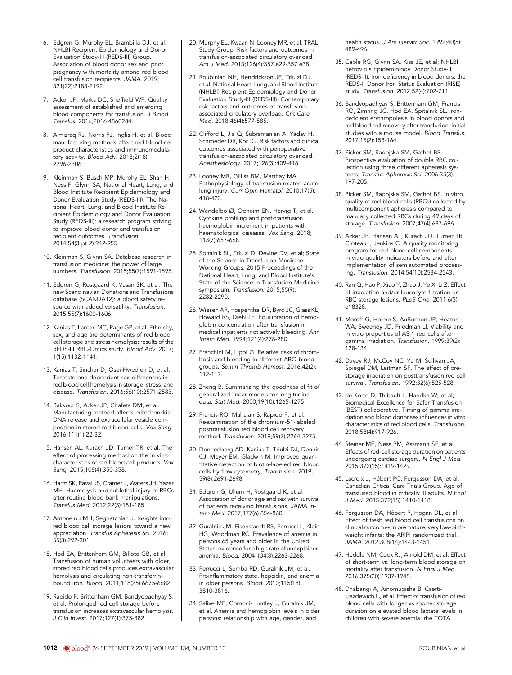- 6. Edgren G, Murphy EL, Brambilla DJ, et al; NHLBI Recipient Epidemiology and Donor Evaluation Study-III (REDS-III) Group. Association of blood donor sex and prior pregnancy with mortality among red blood cell transfusion recipients. JAMA. 2019; 321(22):2183-2192.
- 7. Acker JP, Marks DC, Sheffield WP. Quality assessment of established and emerging blood components for transfusion. J Blood Transfus. 2016;2016:4860284.
- 8. Almizraq RJ, Norris PJ, Inglis H, et al. Blood manufacturing methods affect red blood cell product characteristics and immunomodulatory activity. Blood Adv. 2018;2(18): 2296-2306.
- 9. Kleinman S, Busch MP, Murphy EL, Shan H, Ness P, Glynn SA; National Heart, Lung, and Blood Institute Recipient Epidemiology and Donor Evaluation Study (REDS-III). The National Heart, Lung, and Blood Institute Recipient Epidemiology and Donor Evaluation Study (REDS-III): a research program striving to improve blood donor and transfusion recipient outcomes. Transfusion. 2014;54(3 pt 2):942-955.
- 10. Kleinman S, Glynn SA. Database research in transfusion medicine: the power of large numbers. Transfusion. 2015;55(7):1591-1595.
- 11. Edgren G, Rostgaard K, Vasan SK, et al. The new Scandinavian Donations and Transfusions database (SCANDAT2): a blood safety resource with added versatility. Transfusion. 2015;55(7):1600-1606.
- 12. Kanias T, Lanteri MC, Page GP, et al. Ethnicity, sex, and age are determinants of red blood cell storage and stress hemolysis: results of the REDS-III RBC-Omics study. Blood Adv. 2017; 1(15):1132-1141.
- 13. Kanias T, Sinchar D, Osei-Hwedieh D, et al. Testosterone-dependent sex differences in red blood cell hemolysis in storage, stress, and disease. Transfusion. 2016;56(10):2571-2583.
- 14. Bakkour S, Acker JP, Chafets DM, et al. Manufacturing method affects mitochondrial DNA release and extracellular vesicle composition in stored red blood cells. Vox Sang. 2016;111(1):22-32.
- 15. Hansen AL, Kurach JD, Turner TR, et al. The effect of processing method on the in vitro characteristics of red blood cell products. Vox Sang. 2015;108(4):350-358.
- 16. Harm SK, Raval JS, Cramer J, Waters JH, Yazer MH. Haemolysis and sublethal injury of RBCs after routine blood bank manipulations. Transfus Med. 2012;22(3):181-185.
- 17. Antonelou MH, Seghatchian J. Insights into red blood cell storage lesion: toward a new appreciation. Transfus Apheresis Sci. 2016; 55(3):292-301.
- 18. Hod EA, Brittenham GM, Billote GB, et al. Transfusion of human volunteers with older, stored red blood cells produces extravascular hemolysis and circulating non-transferrinbound iron. Blood. 2011;118(25):6675-6682.
- 19. Rapido F, Brittenham GM, Bandyopadhyay S, et al. Prolonged red cell storage before transfusion increases extravascular hemolysis. J Clin Invest. 2017;127(1):375-382.
- 20. Murphy EL, Kwaan N, Looney MR, et al; TRALI Study Group. Risk factors and outcomes in transfusion-associated circulatory overload. Am J Med. 2013;126(4):357.e29-357.e38.
- 21. Roubinian NH, Hendrickson JE, Triulzi DJ, et al; National Heart, Lung, and Blood Institute (NHLBI) Recipient Epidemiology and Donor Evaluation Study-III (REDS-III). Contemporary risk factors and outcomes of transfusionassociated circulatory overload. Crit Care Med. 2018;46(4):577-585.
- 22. Clifford L, Jia Q, Subramanian A, Yadav H, Schroeder DR, Kor DJ. Risk factors and clinical outcomes associated with perioperative transfusion-associated circulatory overload. Anesthesiology. 2017;126(3):409-418.
- 23. Looney MR, Gilliss BM, Matthay MA. Pathophysiology of transfusion-related acute lung injury. Curr Opin Hematol. 2010;17(5): 418-423.
- 24. Wendelbo Ø, Opheim EN, Hervig T, et al. Cytokine profiling and post-transfusion haemoglobin increment in patients with haematological diseases. Vox Sang. 2018; 113(7):657-668.
- 25. Spitalnik SL, Triulzi D, Devine DV, et al; State of the Science in Transfusion Medicine Working Groups. 2015 Proceedings of the National Heart, Lung, and Blood Institute's State of the Science in Transfusion Medicine symposium. Transfusion. 2015;55(9): 2282-2290.
- 26. Wiesen AR, Hospenthal DR, Byrd JC, Glass KL, Howard RS, Diehl LF. Equilibration of hemoglobin concentration after transfusion in medical inpatients not actively bleeding. Ann Intern Med. 1994;121(4):278-280.
- 27. Franchini M, Lippi G. Relative risks of thrombosis and bleeding in different ABO blood groups. Semin Thromb Hemost. 2016;42(2): 112-117.
- 28. Zheng B. Summarizing the goodness of fit of generalized linear models for longitudinal data. Stat Med. 2000;19(10):1265-1275.
- 29. Francis RO, Mahajan S, Rapido F, et al. Reexamination of the chromium-51-labeled posttransfusion red blood cell recovery method. Transfusion. 2019;59(7):2264-2275.
- 30. Donnenberg AD, Kanias T, Triulzi DJ, Dennis CJ, Meyer EM, Gladwin M. Improved quantitative detection of biotin-labeled red blood cells by flow cytometry. Transfusion. 2019; 59(8):2691-2698.
- 31. Edgren G, Ullum H, Rostgaard K, et al. Association of donor age and sex with survival of patients receiving transfusions. JAMA Intern Med. 2017;177(6):854-860.
- 32. Guralnik JM, Eisenstaedt RS, Ferrucci L, Klein HG, Woodman RC. Prevalence of anemia in persons 65 years and older in the United States: evidence for a high rate of unexplained anemia. Blood. 2004;104(8):2263-2268.
- 33. Ferrucci L, Semba RD, Guralnik JM, et al. Proinflammatory state, hepcidin, and anemia in older persons. Blood. 2010;115(18): 3810-3816.
- 34. Salive ME, Cornoni-Huntley J, Guralnik JM, et al. Anemia and hemoglobin levels in older persons: relationship with age, gender, and

health status. J Am Geriatr Soc. 1992;40(5): 489-496.

- 35. Cable RG, Glynn SA, Kiss JE, et al; NHLBI Retrovirus Epidemiology Donor Study-II (REDS-II). Iron deficiency in blood donors: the REDS-II Donor Iron Status Evaluation (RISE) study. Transfusion. 2012;52(4):702-711.
- 36. Bandyopadhyay S, Brittenham GM, Francis RO, Zimring JC, Hod EA, Spitalnik SL. Irondeficient erythropoiesis in blood donors and red blood cell recovery after transfusion: initial studies with a mouse model. Blood Transfus. 2017;15(2):158-164.
- 37. Picker SM, Radojska SM, Gathof BS. Prospective evaluation of double RBC collection using three different apheresis systems. Transfus Apheresis Sci. 2006;35(3): 197-205.
- 38. Picker SM, Radojska SM, Gathof BS. In vitro quality of red blood cells (RBCs) collected by multicomponent apheresis compared to manually collected RBCs during 49 days of storage. Transfusion. 2007;47(4):687-696.
- 39. Acker JP, Hansen AL, Kurach JD, Turner TR, Croteau I, Jenkins C. A quality monitoring program for red blood cell components: in vitro quality indicators before and after implementation of semiautomated processing. Transfusion. 2014;54(10):2534-2543.
- 40. Ran Q, Hao P, Xiao Y, Zhao J, Ye X, Li Z. Effect of irradiation and/or leucocyte filtration on RBC storage lesions. PLoS One. 2011;6(3): e18328.
- 41. Moroff G, Holme S, AuBuchon JP, Heaton WA, Sweeney JD, Friedman LI. Viability and in vitro properties of AS-1 red cells after gamma irradiation. Transfusion. 1999;39(2): 128-134.
- 42. Davey RJ, McCoy NC, Yu M, Sullivan JA, Spiegel DM, Leitman SF. The effect of prestorage irradiation on posttransfusion red cell survival. Transfusion. 1992;32(6):525-528.
- 43. de Korte D, Thibault L, Handke W, et al; Biomedical Excellence for Safer Transfusion (BEST) collaborative. Timing of gamma irradiation and blood donor sex influences in vitro characteristics of red blood cells. Transfusion. 2018;58(4):917-926.
- 44. Steiner ME, Ness PM, Assmann SF, et al. Effects of red-cell storage duration on patients undergoing cardiac surgery. N Engl J Med. 2015;372(15):1419-1429.
- 45. Lacroix J, Hébert PC, Fergusson DA, et al; Canadian Critical Care Trials Group. Age of transfused blood in critically ill adults. N Engl J Med. 2015;372(15):1410-1418.
- 46. Fergusson DA, Hébert P, Hogan DL, et al. Effect of fresh red blood cell transfusions on clinical outcomes in premature, very low-birthweight infants: the ARIPI randomized trial. JAMA. 2012;308(14):1443-1451.
- 47. Heddle NM, Cook RJ, Arnold DM, et al. Effect of short-term vs. long-term blood storage on mortality after transfusion. N Engl J Med. 2016;375(20):1937-1945.
- 48. Dhabangi A, Ainomugisha B, Cserti-Gazdewich C, et al. Effect of transfusion of red blood cells with longer vs shorter storage duration on elevated blood lactate levels in children with severe anemia: the TOTAL